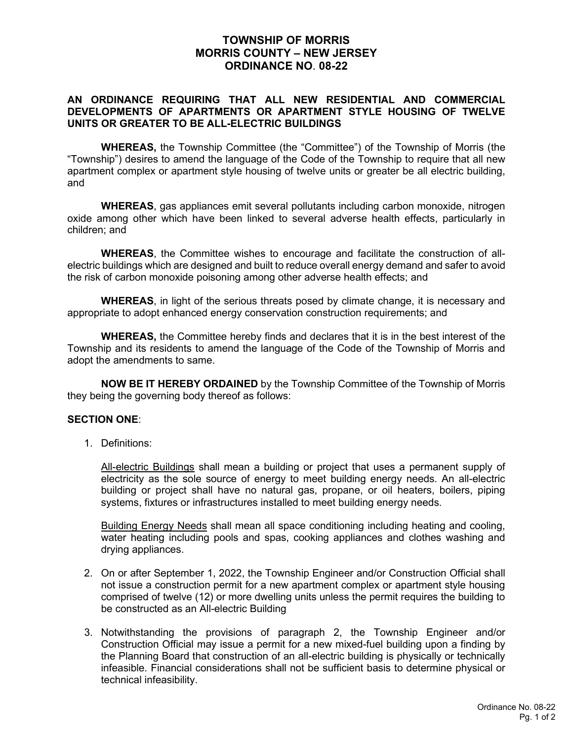## **TOWNSHIP OF MORRIS MORRIS COUNTY – NEW JERSEY ORDINANCE NO**. **08-22**

## **AN ORDINANCE REQUIRING THAT ALL NEW RESIDENTIAL AND COMMERCIAL DEVELOPMENTS OF APARTMENTS OR APARTMENT STYLE HOUSING OF TWELVE UNITS OR GREATER TO BE ALL-ELECTRIC BUILDINGS**

**WHEREAS,** the Township Committee (the "Committee") of the Township of Morris (the "Township") desires to amend the language of the Code of the Township to require that all new apartment complex or apartment style housing of twelve units or greater be all electric building, and

**WHEREAS**, gas appliances emit several pollutants including carbon monoxide, nitrogen oxide among other which have been linked to several adverse health effects, particularly in children; and

**WHEREAS**, the Committee wishes to encourage and facilitate the construction of allelectric buildings which are designed and built to reduce overall energy demand and safer to avoid the risk of carbon monoxide poisoning among other adverse health effects; and

**WHEREAS**, in light of the serious threats posed by climate change, it is necessary and appropriate to adopt enhanced energy conservation construction requirements; and

**WHEREAS,** the Committee hereby finds and declares that it is in the best interest of the Township and its residents to amend the language of the Code of the Township of Morris and adopt the amendments to same.

**NOW BE IT HEREBY ORDAINED** by the Township Committee of the Township of Morris they being the governing body thereof as follows:

## **SECTION ONE**:

1. Definitions:

All-electric Buildings shall mean a building or project that uses a permanent supply of electricity as the sole source of energy to meet building energy needs. An all-electric building or project shall have no natural gas, propane, or oil heaters, boilers, piping systems, fixtures or infrastructures installed to meet building energy needs.

Building Energy Needs shall mean all space conditioning including heating and cooling, water heating including pools and spas, cooking appliances and clothes washing and drying appliances.

- 2. On or after September 1, 2022, the Township Engineer and/or Construction Official shall not issue a construction permit for a new apartment complex or apartment style housing comprised of twelve (12) or more dwelling units unless the permit requires the building to be constructed as an All-electric Building
- 3. Notwithstanding the provisions of paragraph 2, the Township Engineer and/or Construction Official may issue a permit for a new mixed-fuel building upon a finding by the Planning Board that construction of an all-electric building is physically or technically infeasible. Financial considerations shall not be sufficient basis to determine physical or technical infeasibility.